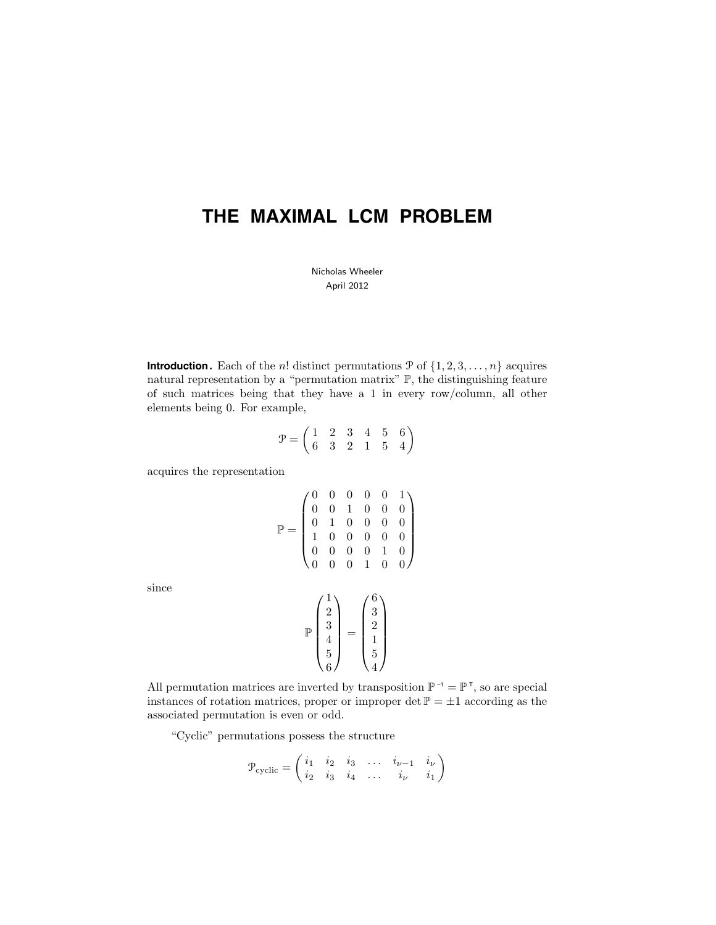# **THE MAXIMAL LCM PROBLEM**

Nicholas Wheeler April 2012

**Introduction.** Each of the *n*! distinct permutations  $\mathcal{P}$  of  $\{1, 2, 3, ..., n\}$  acquires natural representation by a "permutation matrix" P, the distinguishing feature of such matrices being that they have a 1 in every row/column, all other elements being 0. For example,

$$
\mathcal{P} = \left( \begin{matrix} 1 & 2 & 3 & 4 & 5 & 6 \\ 6 & 3 & 2 & 1 & 5 & 4 \end{matrix} \right)
$$

acquires the representation

$$
\mathbb{P} = \begin{pmatrix} 0 & 0 & 0 & 0 & 0 & 1 \\ 0 & 0 & 1 & 0 & 0 & 0 \\ 0 & 1 & 0 & 0 & 0 & 0 \\ 1 & 0 & 0 & 0 & 0 & 0 \\ 0 & 0 & 0 & 0 & 1 & 0 \\ 0 & 0 & 0 & 1 & 0 & 0 \end{pmatrix}
$$

$$
\mathbb{P} \begin{pmatrix} 1 \\ 2 \\ 3 \\ 4 \\ 5 \end{pmatrix} = \begin{pmatrix} 6 \\ 3 \\ 2 \\ 1 \\ 5 \end{pmatrix}
$$

since

All permutation matrices are inverted by transposition 
$$
\mathbb{P}^{-1} = \mathbb{P}^{\top}
$$
, so are special instances of rotation matrices, proper or improper det  $\mathbb{P} = \pm 1$  according as the associated permutation is even or odd.

5 4

5 6

"Cyclic" permutations possess the structure

$$
\mathcal{P}_{\text{cyclic}} = \begin{pmatrix} i_1 & i_2 & i_3 & \dots & i_{\nu-1} & i_\nu \\ i_2 & i_3 & i_4 & \dots & i_\nu & i_1 \end{pmatrix}
$$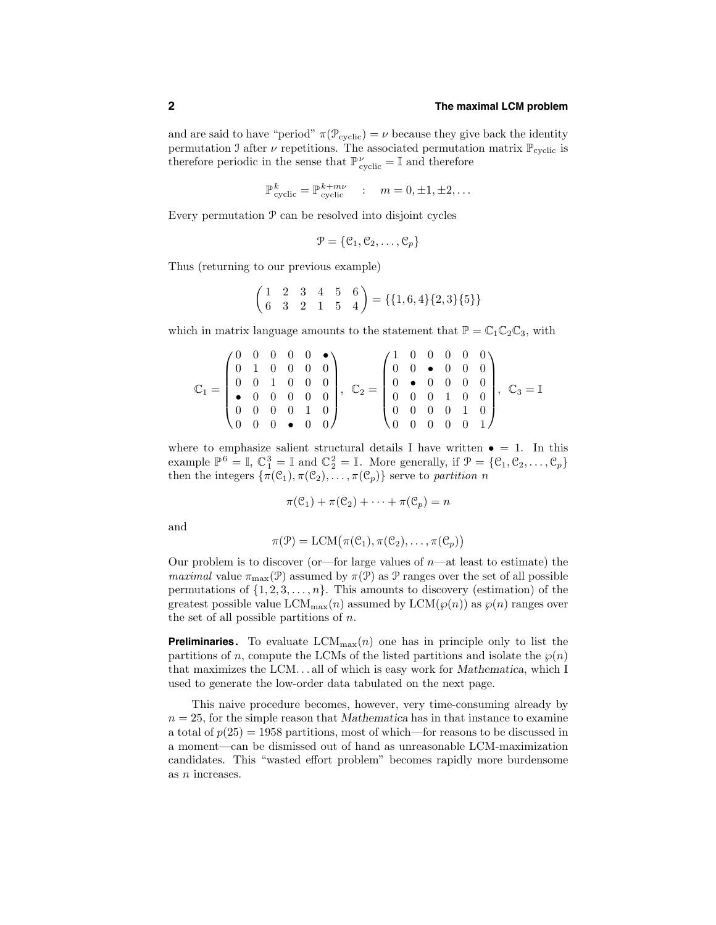## **2 The maximal LCM problem**

and are said to have "period"  $\pi(\mathcal{P}_{\text{cyclic}}) = \nu$  because they give back the identity permutation J after  $\nu$  repetitions. The associated permutation matrix  $\mathbb{P}_{\text{cyclic}}$  is therefore periodic in the sense that  $\mathbb{P}^{\nu}_{\text{cyclic}} = \mathbb{I}$  and therefore

$$
\mathbb{P}_{\text{cyclic}}^k = \mathbb{P}_{\text{cyclic}}^{k+m\nu} \quad : \quad m = 0, \pm 1, \pm 2, \dots
$$

Every permutation P can be resolved into disjoint cycles

$$
\mathcal{P} = \{ \mathcal{C}_1, \mathcal{C}_2, \dots, \mathcal{C}_p \}
$$

Thus (returning to our previous example)

$$
\begin{pmatrix} 1 & 2 & 3 & 4 & 5 & 6 \\ 6 & 3 & 2 & 1 & 5 & 4 \end{pmatrix} = \{\{1, 6, 4\}\{2, 3\}\{5\}\}\
$$

which in matrix language amounts to the statement that  $\mathbb{P} = \mathbb{C}_1 \mathbb{C}_2 \mathbb{C}_3$ , with

$$
\mathbb{C}_1 = \begin{pmatrix} 0 & 0 & 0 & 0 & \bullet \\ 0 & 1 & 0 & 0 & 0 & 0 \\ 0 & 0 & 1 & 0 & 0 & 0 \\ \bullet & 0 & 0 & 0 & 0 & 0 \\ 0 & 0 & 0 & 0 & 1 & 0 \\ 0 & 0 & 0 & \bullet & 0 & 0 \end{pmatrix}, \ \ \mathbb{C}_2 = \begin{pmatrix} 1 & 0 & 0 & 0 & 0 & 0 \\ 0 & 0 & \bullet & 0 & 0 & 0 \\ 0 & \bullet & 0 & 0 & 0 & 0 \\ 0 & 0 & 0 & 1 & 0 & 0 \\ 0 & 0 & 0 & 0 & 1 & 0 \\ 0 & 0 & 0 & 0 & 0 & 1 \end{pmatrix}, \ \ \mathbb{C}_3 = \mathbb{I}
$$

where to emphasize salient structural details I have written  $\bullet = 1$ . In this example  $\mathbb{P}^6 = \mathbb{I}$ ,  $\mathbb{C}_1^3 = \mathbb{I}$  and  $\mathbb{C}_2^2 = \mathbb{I}$ . More generally, if  $\mathcal{P} = \{\mathcal{C}_1, \mathcal{C}_2, \dots, \mathcal{C}_p\}$ then the integers  $\{\pi(\mathcal{C}_1), \pi(\mathcal{C}_2), \ldots, \pi(\mathcal{C}_p)\}\$  serve to partition n

$$
\pi(\mathcal{C}_1) + \pi(\mathcal{C}_2) + \cdots + \pi(\mathcal{C}_p) = n
$$

and

$$
\pi(\mathcal{P}) = \text{LCM}(\pi(\mathcal{C}_1), \pi(\mathcal{C}_2), \dots, \pi(\mathcal{C}_p))
$$

Our problem is to discover (or—for large values of  $n$ —at least to estimate) the maximal value  $\pi_{\text{max}}(\mathcal{P})$  assumed by  $\pi(\mathcal{P})$  as  $\mathcal P$  ranges over the set of all possible permutations of  $\{1, 2, 3, \ldots, n\}$ . This amounts to discovery (estimation) of the greatest possible value LCM<sub>max</sub> $(n)$  assumed by LCM $(\varphi(n))$  as  $\varphi(n)$  ranges over the set of all possible partitions of  $n$ .

**Preliminaries.** To evaluate  $LCM_{max}(n)$  one has in principle only to list the partitions of n, compute the LCMs of the listed partitions and isolate the  $\wp(n)$ that maximizes the LCM. . . all of which is easy work for Mathematica, which I used to generate the low-order data tabulated on the next page.

This naive procedure becomes, however, very time-consuming already by  $n = 25$ , for the simple reason that Mathematica has in that instance to examine a total of  $p(25) = 1958$  partitions, most of which—for reasons to be discussed in a moment—can be dismissed out of hand as unreasonable LCM-maximization candidates. This "wasted effort problem" becomes rapidly more burdensome as n increases.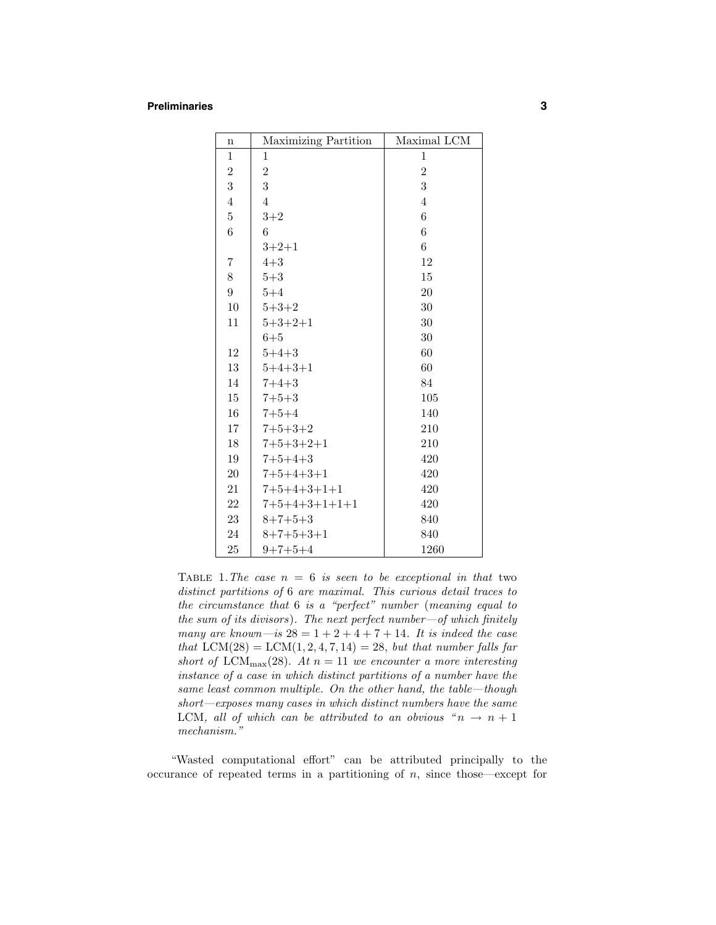#### **Preliminaries 3**

| $\mathbf n$      | Maximizing Partition | Maximal LCM    |
|------------------|----------------------|----------------|
| $\mathbf{1}$     | $\mathbf 1$          | $\mathbf{1}$   |
| $\,2$            | $\overline{2}$       | $\overline{2}$ |
| 3                | 3                    | 3              |
| $\overline{4}$   | $\overline{4}$       | $\overline{4}$ |
| $\bf 5$          | $3+2$                | 6              |
| 6                | 6                    | 6              |
|                  | $3+2+1$              | 6              |
| 7                | $4 + 3$              | 12             |
| 8                | $5 + 3$              | 15             |
| $\boldsymbol{9}$ | $5 + 4$              | 20             |
| 10               | $5 + 3 + 2$          | 30             |
| 11               | $5 + 3 + 2 + 1$      | 30             |
|                  | $6 + 5$              | 30             |
| 12               | $5 + 4 + 3$          | 60             |
| 13               | $5 + 4 + 3 + 1$      | 60             |
| 14               | $7 + 4 + 3$          | 84             |
| 15               | $7 + 5 + 3$          | 105            |
| 16               | $7 + 5 + 4$          | 140            |
| 17               | $7 + 5 + 3 + 2$      | 210            |
| 18               | $7+5+3+2+1$          | 210            |
| 19               | $7 + 5 + 4 + 3$      | 420            |
| $20\,$           | $7+5+4+3+1$          | 420            |
| 21               | $7+5+4+3+1+1$        | 420            |
| 22               | $7+5+4+3+1+1+1$      | 420            |
| 23               | $8+7+5+3$            | 840            |
| 24               | $8+7+5+3+1$          | 840            |
| 25               | $9+7+5+4$            | 1260           |

TABLE 1. The case  $n = 6$  is seen to be exceptional in that two distinct partitions of 6 are maximal. This curious detail traces to the circumstance that 6 is a "perfect" number (meaning equal to the sum of its divisors). The next perfect number—of which finitely many are known—is  $28 = 1 + 2 + 4 + 7 + 14$ . It is indeed the case that  $LCM(28) = LCM(1, 2, 4, 7, 14) = 28$ , but that number falls far short of LCM<sub>max</sub>(28). At  $n = 11$  we encounter a more interesting instance of a case in which distinct partitions of a number have the same least common multiple. On the other hand, the table—though short—exposes many cases in which distinct numbers have the same LCM, all of which can be attributed to an obvious " $n \rightarrow n+1$ mechanism."

"Wasted computational effort" can be attributed principally to the occurance of repeated terms in a partitioning of  $n$ , since those—except for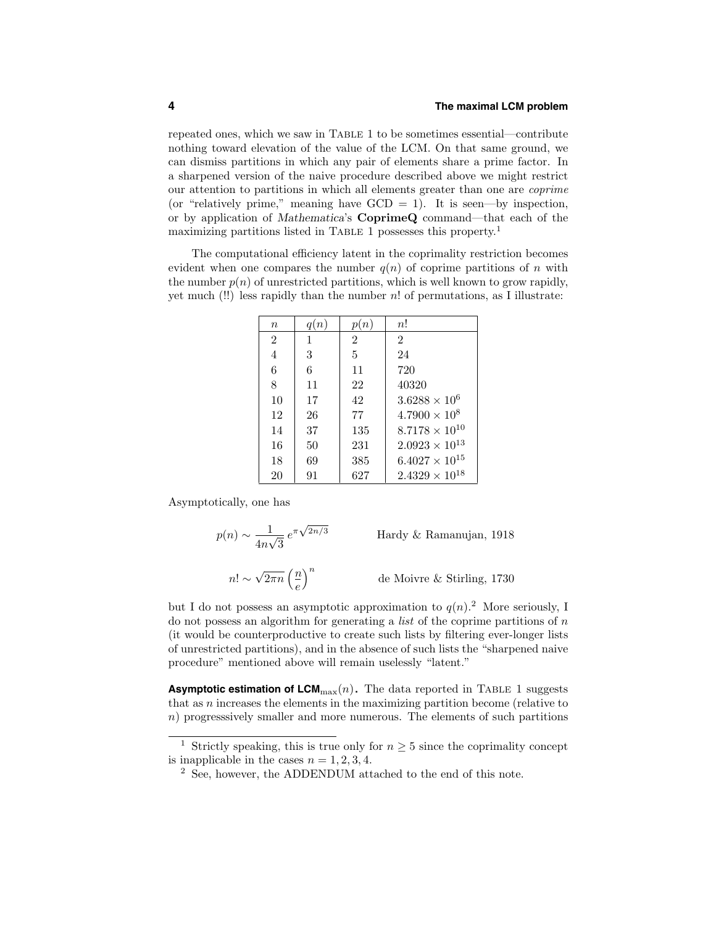repeated ones, which we saw in Table 1 to be sometimes essential—contribute nothing toward elevation of the value of the LCM. On that same ground, we can dismiss partitions in which any pair of elements share a prime factor. In a sharpened version of the naive procedure described above we might restrict our attention to partitions in which all elements greater than one are coprime (or "relatively prime," meaning have  $GCD = 1$ ). It is seen—by inspection, or by application of Mathematica's CoprimeQ command—that each of the maximizing partitions listed in TABLE 1 possesses this property.<sup>1</sup>

The computational efficiency latent in the coprimality restriction becomes evident when one compares the number  $q(n)$  of coprime partitions of n with the number  $p(n)$  of unrestricted partitions, which is well known to grow rapidly, yet much  $(!!)$  less rapidly than the number n! of permutations, as I illustrate:

| $\boldsymbol{n}$ | q(n) | p(n)           | n!                      |
|------------------|------|----------------|-------------------------|
| $\overline{2}$   | 1    | $\overline{2}$ | $\mathfrak{D}$          |
| 4                | 3    | 5              | 24                      |
| 6                | 6    | 11             | 720                     |
| 8                | 11   | 22             | 40320                   |
| 10               | 17   | 42             | $3.6288 \times 10^{6}$  |
| 12               | 26   | 77             | $4.7900 \times 10^8$    |
| 14               | 37   | 135            | $8.7178 \times 10^{10}$ |
| 16               | 50   | 231            | $2.0923 \times 10^{13}$ |
| 18               | 69   | 385            | $6.4027 \times 10^{15}$ |
| 20               | 91   | 627            | $2.4329\times10^{18}$   |

Asymptotically, one has

$$
p(n) \sim \frac{1}{4n\sqrt{3}} e^{\pi\sqrt{2n/3}}
$$
 Hardy & Ramanujan, 1918  

$$
n! \sim \sqrt{2\pi n} \left(\frac{n}{e}\right)^n
$$
 de Moivre & Stirling, 1730

but I do not possess an asymptotic approximation to  $q(n)$ <sup>2</sup>. More seriously, I do not possess an algorithm for generating a *list* of the coprime partitions of  $n$ (it would be counterproductive to create such lists by filtering ever-longer lists of unrestricted partitions), and in the absence of such lists the "sharpened naive procedure" mentioned above will remain uselessly "latent."

**Asymptotic estimation of**  $LCM_{\text{max}}(n)$ **. The data reported in TABLE 1 suggests** that as n increases the elements in the maximizing partition become (relative to n) progresssively smaller and more numerous. The elements of such partitions

<sup>&</sup>lt;sup>1</sup> Strictly speaking, this is true only for  $n \geq 5$  since the coprimality concept is inapplicable in the cases  $n = 1, 2, 3, 4$ .

<sup>2</sup> See, however, the ADDENDUM attached to the end of this note.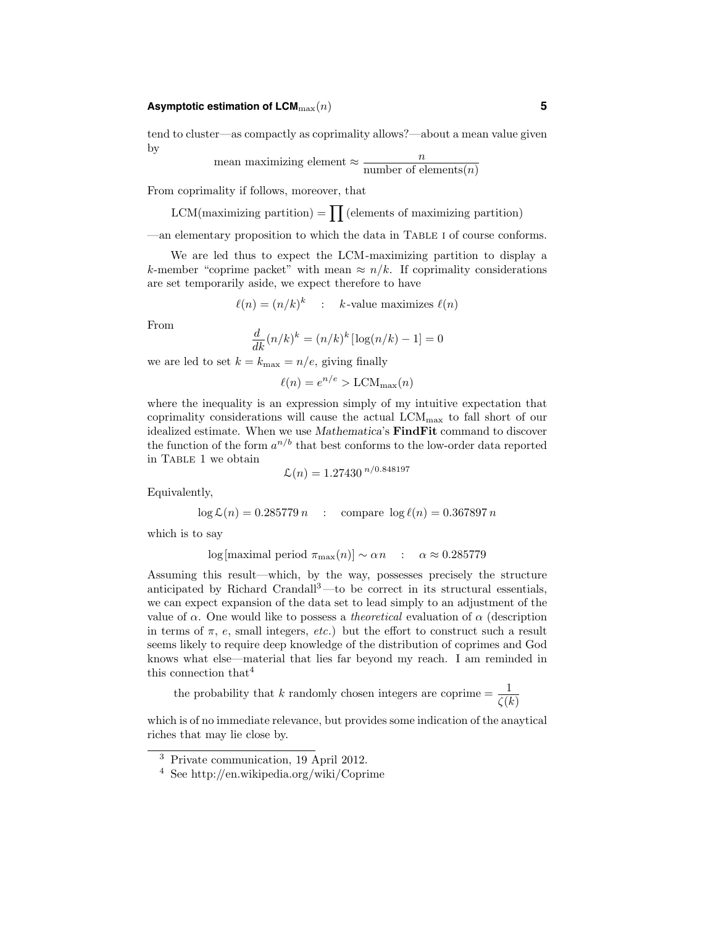## **Asymptotic estimation of LCM**max(n) **5**

tend to cluster—as compactly as coprimality allows?—about a mean value given by

mean maximizing element 
$$
\approx \frac{n}{\text{number of elements}(n)}
$$

From coprimality if follows, moreover, that

 $LCM$ (maximizing partition) =  $\prod$  (elements of maximizing partition)

—an elementary proposition to which the data in Table i of course conforms.

We are led thus to expect the LCM-maximizing partition to display a k-member "coprime packet" with mean  $\approx n/k$ . If coprimality considerations are set temporarily aside, we expect therefore to have

$$
\ell(n) = (n/k)^k
$$
 : *k*-value maximizes  $\ell(n)$ 

From

$$
\frac{d}{dk}(n/k)^k = (n/k)^k [\log(n/k) - 1] = 0
$$

we are led to set  $k = k_{\text{max}} = n/e$ , giving finally

$$
\ell(n) = e^{n/e} > \text{LCM}_{\text{max}}(n)
$$

where the inequality is an expression simply of my intuitive expectation that coprimality considerations will cause the actual LCMmax to fall short of our idealized estimate. When we use Mathematica's FindFit command to discover the function of the form  $a^{n/b}$  that best conforms to the low-order data reported in Table 1 we obtain

$$
\mathcal{L}(n) = 1.27430^{n/0.848197}
$$

Equivalently,

$$
\log \mathcal{L}(n) = 0.285779 n \quad : \quad \text{compare } \log \ell(n) = 0.367897 n
$$

which is to say

$$
\log[\text{maximal period } \pi_{\text{max}}(n)] \sim \alpha n \quad : \quad \alpha \approx 0.285779
$$

Assuming this result—which, by the way, possesses precisely the structure anticipated by Richard Crandall<sup>3</sup>—to be correct in its structural essentials, we can expect expansion of the data set to lead simply to an adjustment of the value of  $\alpha$ . One would like to possess a *theoretical* evaluation of  $\alpha$  (description in terms of  $\pi$ , e, small integers, etc.) but the effort to construct such a result seems likely to require deep knowledge of the distribution of coprimes and God knows what else—material that lies far beyond my reach. I am reminded in this connection that<sup>4</sup>

the probability that k randomly chosen integers are coprime  $=$   $\frac{1}{\zeta(k)}$ 

which is of no immediate relevance, but provides some indication of the anaytical riches that may lie close by.

<sup>3</sup> Private communication, 19 April 2012.

<sup>4</sup> See http://en.wikipedia.org/wiki/Coprime